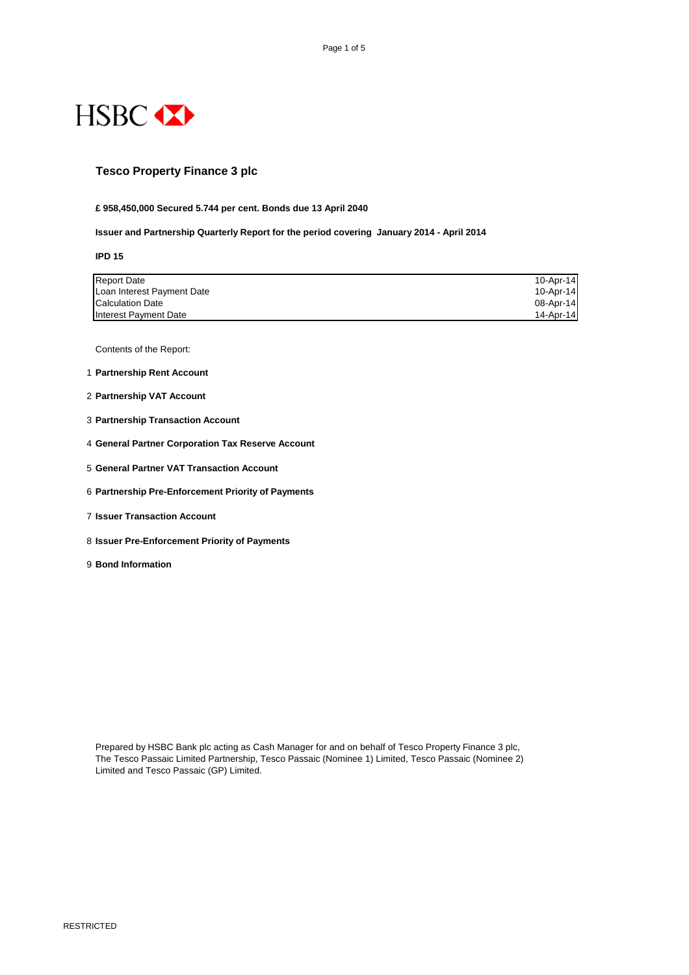

RESTRICTED

### **Tesco Property Finance 3 plc**

**£ 958,450,000 Secured 5.744 per cent. Bonds due 13 April 2040**

**Issuer and Partnership Quarterly Report for the period covering January 2014 - April 2014**

**IPD 15**

| <b>Report Date</b>         | $10 - Apr - 14$ |
|----------------------------|-----------------|
| Loan Interest Payment Date | 10-Apr-14       |
| <b>Calculation Date</b>    | $08$ -Apr-14    |
| Interest Payment Date      | $14 - Apr - 14$ |

Contents of the Report:

- 1 **Partnership Rent Account**
- 2 **Partnership VAT Account**
- 3 **Partnership Transaction Account**
- 4 **General Partner Corporation Tax Reserve Account**
- 5 **General Partner VAT Transaction Account**
- 6 **Partnership Pre-Enforcement Priority of Payments**
- 7 **Issuer Transaction Account**
- 8 **Issuer Pre-Enforcement Priority of Payments**
- 9 **Bond Information**

The Tesco Passaic Limited Partnership, Tesco Passaic (Nominee 1) Limited, Tesco Passaic (Nominee 2) Limited and Tesco Passaic (GP) Limited.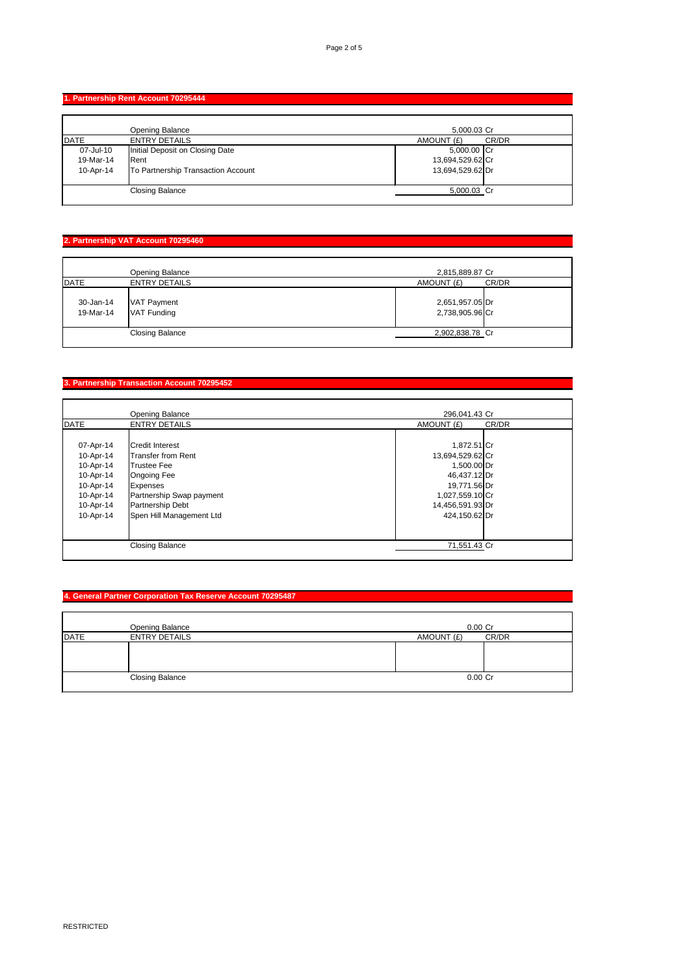### **1. Partnership Rent Account 70295444**

|           | <b>Opening Balance</b>             | 5,000.03 Cr      |       |
|-----------|------------------------------------|------------------|-------|
| DATE      | <b>ENTRY DETAILS</b>               | AMOUNT (£)       | CR/DR |
| 07-Jul-10 | Initial Deposit on Closing Date    | 5,000.00 Cr      |       |
| 19-Mar-14 | <b>Rent</b>                        | 13,694,529.62 Cr |       |
| 10-Apr-14 | To Partnership Transaction Account | 13,694,529.62 Dr |       |
|           | <b>Closing Balance</b>             | 5,000.03 Cr      |       |

### **2. Partnership VAT Account 70295460**

|                        | <b>Opening Balance</b>     | 2,815,889.87 Cr                    |       |
|------------------------|----------------------------|------------------------------------|-------|
| <b>DATE</b>            | <b>ENTRY DETAILS</b>       | AMOUNT (£)                         | CR/DR |
| 30-Jan-14<br>19-Mar-14 | VAT Payment<br>VAT Funding | 2,651,957.05 Dr<br>2,738,905.96 Cr |       |
|                        | <b>Closing Balance</b>     | 2,902,838.78 Cr                    |       |
|                        |                            |                                    |       |

# **3. Partnership Transaction Account 70295452**

|             | <b>Opening Balance</b>   | 296,041.43 Cr    |       |
|-------------|--------------------------|------------------|-------|
| <b>DATE</b> | <b>ENTRY DETAILS</b>     | AMOUNT (£)       | CR/DR |
|             |                          |                  |       |
| 07-Apr-14   | <b>Credit Interest</b>   | 1,872.51 Cr      |       |
| 10-Apr-14   | Transfer from Rent       | 13,694,529.62 Cr |       |
| 10-Apr-14   | Trustee Fee              | 1,500.00 Dr      |       |
| 10-Apr-14   | <b>Ongoing Fee</b>       | 46,437.12 Dr     |       |
| 10-Apr-14   | <b>Expenses</b>          | 19,771.56 Dr     |       |
| 10-Apr-14   | Partnership Swap payment | 1,027,559.10 Cr  |       |
| 10-Apr-14   | <b>Partnership Debt</b>  | 14,456,591.93 Dr |       |
| 10-Apr-14   | Spen Hill Management Ltd | 424,150.62 Dr    |       |
|             |                          |                  |       |
|             |                          |                  |       |
|             | <b>Closing Balance</b>   | 71,551.43 Cr     |       |
|             |                          |                  |       |

# **4. General Partner Corporation Tax Reserve Account 70295487**

|      | <b>Opening Balance</b> | $0.00$ Cr           |
|------|------------------------|---------------------|
| DATE | <b>ENTRY DETAILS</b>   | CR/DR<br>AMOUNT (£) |
|      |                        |                     |
|      |                        |                     |
|      |                        |                     |
|      | <b>Closing Balance</b> | $0.00$ Cr           |
|      |                        |                     |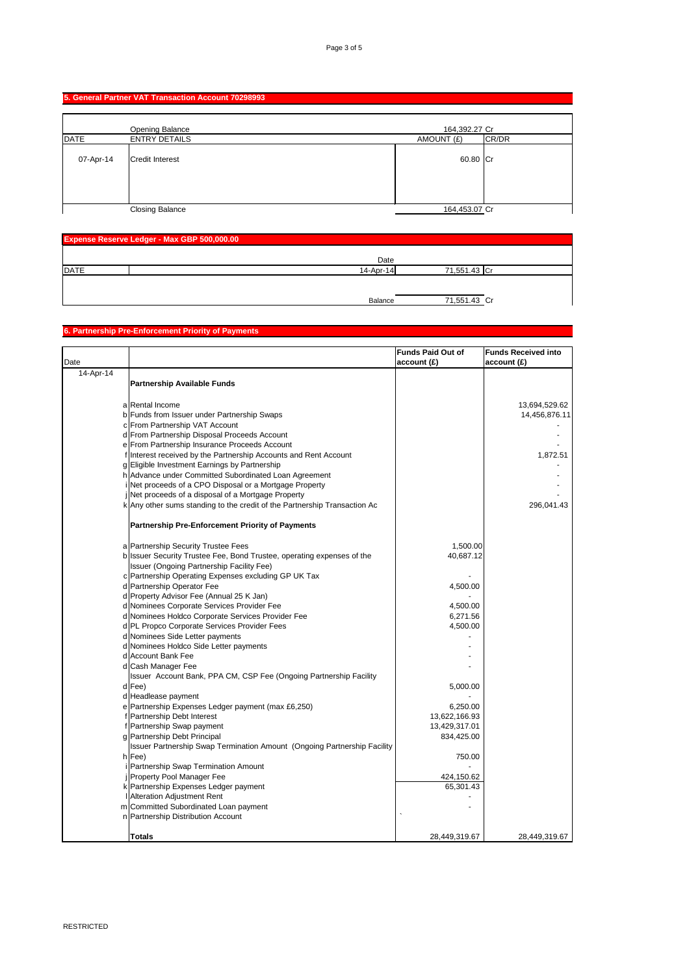#### **5. General Partner VAT Transaction Account 70298993**

| <b>Expense Reserve Ledger - Max GBP 500,000.00</b> |              |              |  |
|----------------------------------------------------|--------------|--------------|--|
|                                                    | Date         |              |  |
| <b>DATE</b>                                        | $14$ -Apr-14 | 71,551.43 Cr |  |
|                                                    |              |              |  |
|                                                    | Balance      | 71,551.43 Cr |  |

|           | <b>Opening Balance</b> | 164,392.27 Cr |       |
|-----------|------------------------|---------------|-------|
| DATE      | <b>ENTRY DETAILS</b>   | AMOUNT (£)    | CR/DR |
| 07-Apr-14 | Credit Interest        | 60.80 Cr      |       |
|           | <b>Closing Balance</b> | 164,453.07 Cr |       |

# **6. Partnership Pre-Enforcement Priority of Payments**

| Date      |                                                                           | <b>Funds Paid Out of</b><br>account(E) | <b>Funds Received into</b><br>account(E) |
|-----------|---------------------------------------------------------------------------|----------------------------------------|------------------------------------------|
| 14-Apr-14 |                                                                           |                                        |                                          |
|           | <b>Partnership Available Funds</b>                                        |                                        |                                          |
|           | a Rental Income                                                           |                                        | 13,694,529.62                            |
|           | b Funds from Issuer under Partnership Swaps                               |                                        | 14,456,876.11                            |
|           | c From Partnership VAT Account                                            |                                        |                                          |
|           | d From Partnership Disposal Proceeds Account                              |                                        |                                          |
|           | e From Partnership Insurance Proceeds Account                             |                                        |                                          |
|           | Hinterest received by the Partnership Accounts and Rent Account           |                                        | 1,872.51                                 |
|           | g Eligible Investment Earnings by Partnership                             |                                        |                                          |
|           | h Advance under Committed Subordinated Loan Agreement                     |                                        |                                          |
|           | Net proceeds of a CPO Disposal or a Mortgage Property                     |                                        |                                          |
|           | Net proceeds of a disposal of a Mortgage Property                         |                                        |                                          |
|           | k Any other sums standing to the credit of the Partnership Transaction Ac |                                        | 296,041.43                               |
|           | <b>Partnership Pre-Enforcement Priority of Payments</b>                   |                                        |                                          |
|           | a Partnership Security Trustee Fees                                       | 1,500.00                               |                                          |
|           | b Issuer Security Trustee Fee, Bond Trustee, operating expenses of the    | 40,687.12                              |                                          |
|           | Issuer (Ongoing Partnership Facility Fee)                                 |                                        |                                          |
|           | c Partnership Operating Expenses excluding GP UK Tax                      |                                        |                                          |
|           | d Partnership Operator Fee                                                | 4,500.00                               |                                          |
|           | d Property Advisor Fee (Annual 25 K Jan)                                  |                                        |                                          |
|           | d Nominees Corporate Services Provider Fee                                | 4,500.00                               |                                          |
|           | d Nominees Holdco Corporate Services Provider Fee                         | 6,271.56                               |                                          |
|           | d PL Propco Corporate Services Provider Fees                              | 4,500.00                               |                                          |
|           | d Nominees Side Letter payments                                           |                                        |                                          |
|           | d Nominees Holdco Side Letter payments                                    |                                        |                                          |
|           | d Account Bank Fee                                                        |                                        |                                          |
|           | d Cash Manager Fee                                                        |                                        |                                          |
|           | Issuer Account Bank, PPA CM, CSP Fee (Ongoing Partnership Facility        |                                        |                                          |
|           | $d$ Fee)                                                                  | 5,000.00                               |                                          |
|           | d Headlease payment                                                       |                                        |                                          |
|           | e   Partnership Expenses Ledger payment (max £6,250)                      | 6,250.00                               |                                          |
|           | f Partnership Debt Interest                                               | 13,622,166.93                          |                                          |
|           | f Partnership Swap payment                                                | 13,429,317.01                          |                                          |
|           | g Partnership Debt Principal                                              | 834,425.00                             |                                          |
|           | Issuer Partnership Swap Termination Amount (Ongoing Partnership Facility  |                                        |                                          |
|           | $h$ Fee)                                                                  | 750.00                                 |                                          |
|           | <b>Partnership Swap Termination Amount</b>                                |                                        |                                          |
|           | <b>Property Pool Manager Fee</b>                                          | 424,150.62                             |                                          |
|           | k Partnership Expenses Ledger payment                                     | 65,301.43                              |                                          |
|           | <b>Alteration Adjustment Rent</b>                                         |                                        |                                          |
|           | m Committed Subordinated Loan payment                                     |                                        |                                          |
|           | n   Partnership Distribution Account                                      |                                        |                                          |
|           | <b>Totals</b>                                                             | 28,449,319.67                          | 28,449,319.67                            |
|           |                                                                           |                                        |                                          |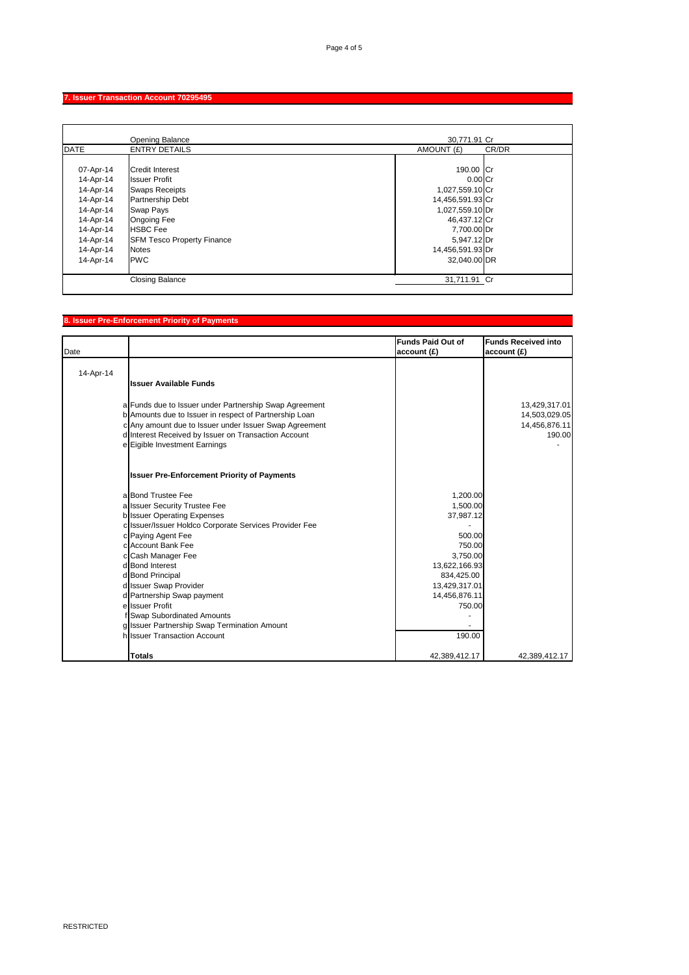RESTRICTED

#### **7. Issuer Transaction Account 70295495**

|             | <b>Opening Balance</b>            | 30,771.91 Cr        |  |
|-------------|-----------------------------------|---------------------|--|
| <b>DATE</b> | <b>ENTRY DETAILS</b>              | AMOUNT (£)<br>CR/DR |  |
|             |                                   |                     |  |
| 07-Apr-14   | <b>Credit Interest</b>            | 190.00 Cr           |  |
| 14-Apr-14   | <b>Issuer Profit</b>              | $0.00$ Cr           |  |
| 14-Apr-14   | <b>Swaps Receipts</b>             | 1,027,559.10 Cr     |  |
| 14-Apr-14   | <b>Partnership Debt</b>           | 14,456,591.93 Cr    |  |
| 14-Apr-14   | <b>Swap Pays</b>                  | 1,027,559.10 Dr     |  |
| 14-Apr-14   | <b>Ongoing Fee</b>                | 46,437.12 Cr        |  |
| 14-Apr-14   | <b>HSBC</b> Fee                   | 7,700.00 Dr         |  |
| 14-Apr-14   | <b>SFM Tesco Property Finance</b> | $5,947.12$ Dr       |  |
| 14-Apr-14   | <b>Notes</b>                      | 14,456,591.93 Dr    |  |
| 14-Apr-14   | <b>PWC</b>                        | 32,040.00 DR        |  |
|             |                                   |                     |  |
|             | <b>Closing Balance</b>            | 31,711.91 Cr        |  |

#### **8. Issuer Pre-Enforcement Priority of Payments**

| Date      |                                                        | <b>Funds Paid Out of</b><br>$ $ account $(E)$ | <b>Funds Received into</b><br>account(E) |
|-----------|--------------------------------------------------------|-----------------------------------------------|------------------------------------------|
| 14-Apr-14 |                                                        |                                               |                                          |
|           | <b>Issuer Available Funds</b>                          |                                               |                                          |
|           | a Funds due to Issuer under Partnership Swap Agreement |                                               | 13,429,317.01                            |
|           | b Amounts due to Issuer in respect of Partnership Loan |                                               | 14,503,029.05                            |
|           | c Any amount due to Issuer under Issuer Swap Agreement |                                               | 14,456,876.11                            |
|           | d Interest Received by Issuer on Transaction Account   |                                               | 190.00                                   |
|           | e Eigible Investment Earnings                          |                                               |                                          |
|           | <b>Issuer Pre-Enforcement Priority of Payments</b>     |                                               |                                          |
|           | a Bond Trustee Fee                                     | 1,200.00                                      |                                          |
|           | a Issuer Security Trustee Fee                          | 1,500.00                                      |                                          |
|           | b Issuer Operating Expenses                            | 37,987.12                                     |                                          |
|           | c Issuer/Issuer Holdco Corporate Services Provider Fee |                                               |                                          |
|           | c Paying Agent Fee                                     | 500.00                                        |                                          |
|           | c Account Bank Fee                                     | 750.00                                        |                                          |
|           | c Cash Manager Fee                                     | 3,750.00                                      |                                          |
|           | d Bond Interest                                        | 13,622,166.93                                 |                                          |
|           | d Bond Principal                                       | 834,425.00                                    |                                          |
|           | d Issuer Swap Provider                                 | 13,429,317.01                                 |                                          |
|           | d Partnership Swap payment<br>ellssuer Profit          | 14,456,876.11<br>750.00                       |                                          |
|           | f Swap Subordinated Amounts                            |                                               |                                          |
|           | g Issuer Partnership Swap Termination Amount           |                                               |                                          |
|           | h Issuer Transaction Account                           | 190.00                                        |                                          |
|           | <b>Totals</b>                                          | 42,389,412.17                                 | 42,389,412.17                            |